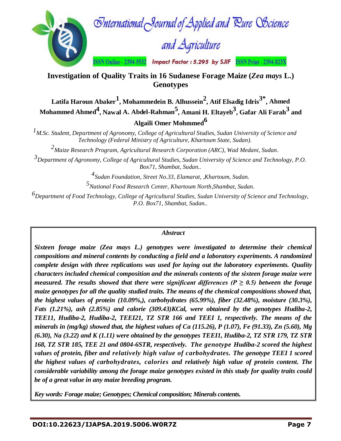

**Investigation of Quality Traits in 16 Sudanese Forage Maize (***Zea mays* **L.) Genotypes**

**Latifa Haroun Abaker<sup>1</sup> , Mohammedein B. Alhussein<sup>2</sup> , Atif Elsadig Idris 3\* , Ahmed Mohammed Ahmed4 , Nawal A. Abdel-Rahman 5 , Amani H. Eltayeb3 , Gafar Ali Farah<sup>3</sup> and Algaili Omer Mohmmed**<sup>6</sup>

*1M.Sc. Student, Department of Agronomy, College of Agricultural Studies, Sudan University of Science and Technology (Federal Ministry of Agriculture, Khartoum State, Sudan).*

*2Maize Research Program, Agricultural Research Corporation (ARC), Wad Medani, Sudan.*

*3Department of Agronomy, College of Agricultural Studies, Sudan University of Science and Technology, P.O. Box71, Shambat, Sudan..*

*4 Sudan Foundation, Street No.33, Elamarat, ,Khartoum, Sudan.*

*5National Food Research Center, Khartoum North,Shambat, Sudan.*

*6Department of Food Technology, College of Agricultural Studies, Sudan University of Science and Technology, P.O. Box71, Shambat, Sudan..*

#### *Abstract*

*Sixteen forage maize (Zea mays L.) genotypes were investigated to determine their chemical compositions and mineral contents by conducting a field and a laboratory experiments. A randomized complete design with three replications was used for laying out the laboratory experiments. Quality characters included chemical composition and the minerals contents of the sixteen forage maize were measured. The results showed that there were significant differences (* $P \geq 0.5$ *) between the forage maize genotypes for all the quality studied traits. The means of the chemical compositions showed that, the highest values of protein (10.09%,), carbohydrates (65.99%), fiber (32.48%), moisture (30.3%), Fats (1.21%), ash (2.85%) and calorie (309.43)KCal, were obtained by the genotypes Hudiba-2, TEE11, Hudiba-2, Hudiba-2, TEEI21, TZ STR 166 and TEEI 1, respectively. The means of the minerals in (mg/kg) showed that, the highest values of Ca (115.26), P (1.07), Fe (91.33), Zn (5.60), Mg (6.30), Na (3.22) and K (1.11) were obtained by the genotypes TEEI1, Hudiba-2, TZ STR 179, TZ STR 168, TZ STR 185, TEE 21 and 0804-6STR, respectively. The genotype Hudiba-2 scored the highest values of protein, fiber and relatively high value of carbohydrates. The genotype TEEI 1 scored the highest values of carbohydrates, calories and relatively high value of protein content. The considerable variability among the forage maize genotypes existed in this study for quality traits could be of a great value in any maize breeding program.*

*Key words: Forage maize; Genotypes; Chemical composition; Minerals contents.*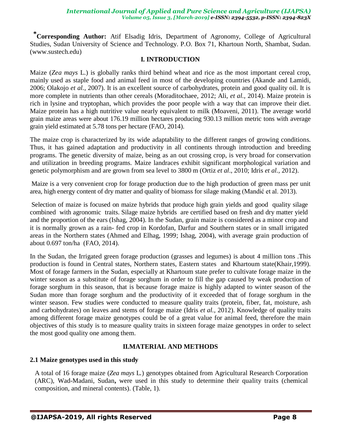**\*Corresponding Author:** Atif Elsadig Idris, Department of Agronomy, College of Agricultural Studies, Sudan University of Science and Technology. P.O. Box 71, Khartoun North, Shambat, Sudan. (www.sustech.edu)

### **I. INTRODUCTION**

Maize (*Zea mays* L.) is globally ranks third behind wheat and rice as the most important cereal crop, mainly used as staple food and animal feed in most of the developing countries (Akande and Lamidi, 2006; Olakojo *et al.,* 2007). It is an excellent source of carbohydrates, protein and good quality oil. It is more complete in nutrients than other cereals (Moraditochaee, 2012; Ali, *et al.,* 2014). Maize protein is rich in lysine and tryptophan, which provides the poor people with a way that can improve their diet. Maize protein has a high nutritive value nearly equivalent to milk (Moaveni, 2011). The average world grain maize areas were about 176.19 million hectares producing 930.13 million metric tons with average grain yield estimated at 5.78 tons per hectare (FAO, 2014).

The maize crop is characterized by its wide adaptability to the different ranges of growing conditions. Thus, it has gained adaptation and productivity in all continents through introduction and breeding programs. The genetic diversity of maize, being as an out crossing crop, is very broad for conservation and utilization in breeding programs. Maize landraces exhibit significant morphological variation and genetic polymorphism and are grown from sea level to 3800 m (Ortiz *et al*., 2010; Idris *et al.,* 2012).

Maize is a very convenient crop for forage production due to the high production of green mass per unit area, high energy content of dry matter and quality of biomass for silage making (Mandić et al. 2013).

Selection of maize is focused on maize hybrids that produce high grain yields and good quality silage combined with agronomic traits. Silage maize hybrids are certified based on fresh and dry matter yield and the proportion of the ears (Ishag, 2004). In the Sudan, grain maize is considered as a minor crop and it is normally grown as a rain- fed crop in Kordofan, Darfur and Southern states or in small irrigated areas in the Northern states (Ahmed and Elhag, 1999; Ishag, 2004), with average grain production of about 0.697 ton/ha (FAO, 2014).

In the Sudan, the Irrigated green forage production (grasses and legumes) is about 4 million tons .This production is found in Central states, Northern states, Eastern states and Khartoum state(Khair,1999). Most of forage farmers in the Sudan, especially at Khartoum state prefer to cultivate forage maize in the winter season as a substitute of forage sorghum in order to fill the gap caused by weak production of forage sorghum in this season, that is because forage maize is highly adapted to winter season of the Sudan more than forage sorghum and the productivity of it exceeded that of forage sorghum in the winter season. Few studies were conducted to measure quality traits (protein, fiber, fat, moisture, ash and carbohydrates) on leaves and stems of forage maize (Idris *et al.,* 2012). Knowledge of quality traits among different forage maize genotypes could be of a great value for animal feed, therefore the main objectives of this study is to measure quality traits in sixteen forage maize genotypes in order to select the most good quality one among them.

## **II.MATERIAL AND METHODS**

## **2.1 Maize genotypes used in this study**

A total of 16 forage maize (*Zea mays* L*.*) genotypes obtained from Agricultural Research Corporation (ARC), Wad-Madani, Sudan**,** were used in this study to determine their quality traits (chemical composition, and mineral contents). (Table, 1).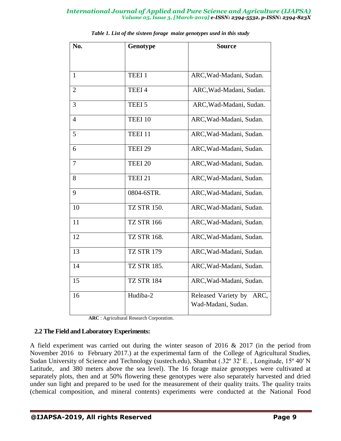| No.            | Genotype           | <b>Source</b>                                     |  |  |  |  |  |
|----------------|--------------------|---------------------------------------------------|--|--|--|--|--|
|                |                    |                                                   |  |  |  |  |  |
|                |                    |                                                   |  |  |  |  |  |
| $\mathbf{1}$   | TEEI 1             | ARC, Wad-Madani, Sudan.                           |  |  |  |  |  |
| $\overline{2}$ | TEEI 4             | ARC, Wad-Madani, Sudan.                           |  |  |  |  |  |
| 3              | TEEI 5             | ARC, Wad-Madani, Sudan.                           |  |  |  |  |  |
| $\overline{4}$ | TEEI 10            | ARC, Wad-Madani, Sudan.                           |  |  |  |  |  |
| 5              | TEEI 11            | ARC, Wad-Madani, Sudan.                           |  |  |  |  |  |
| 6              | TEEI <sub>29</sub> | ARC, Wad-Madani, Sudan.                           |  |  |  |  |  |
| $\tau$         | TEEI <sub>20</sub> | ARC, Wad-Madani, Sudan.                           |  |  |  |  |  |
| 8              | TEEI 21            | ARC, Wad-Madani, Sudan.                           |  |  |  |  |  |
| 9              | 0804-6STR.         | ARC, Wad-Madani, Sudan.                           |  |  |  |  |  |
| 10             | TZ STR 150.        | ARC, Wad-Madani, Sudan.                           |  |  |  |  |  |
| 11             | <b>TZ STR 166</b>  | ARC, Wad-Madani, Sudan.                           |  |  |  |  |  |
| 12             | <b>TZ STR 168.</b> | ARC, Wad-Madani, Sudan.                           |  |  |  |  |  |
| 13             | <b>TZ STR 179</b>  | ARC, Wad-Madani, Sudan.                           |  |  |  |  |  |
| 14             | <b>TZ STR 185.</b> | ARC, Wad-Madani, Sudan.                           |  |  |  |  |  |
| 15             | <b>TZ STR 184</b>  | ARC, Wad-Madani, Sudan.                           |  |  |  |  |  |
| 16             | Hudiba-2           | Released Variety by<br>ARC,<br>Wad-Madani, Sudan. |  |  |  |  |  |

 **ARC** : Agricultural Research Corporation.

#### **2.2 The Field and Laboratory Experiments:**

A field experiment was carried out during the winter season of 2016 & 2017 (in the period from November 2016 to February 2017.) at the experimental farm of the College of Agricultural Studies, Sudan University of Science and Technology (sustech.edu), Shambat (.32º 32′ E. , Longitude, 15º 40′ N Latitude, and 380 meters above the sea level). The 16 forage maize genotypes were cultivated at separately plots, then and at 50% flowering these genotypes were also separately harvested and dried under sun light and prepared to be used for the measurement of their quality traits. The quality traits (chemical composition, and mineral contents) experiments were conducted at the National Food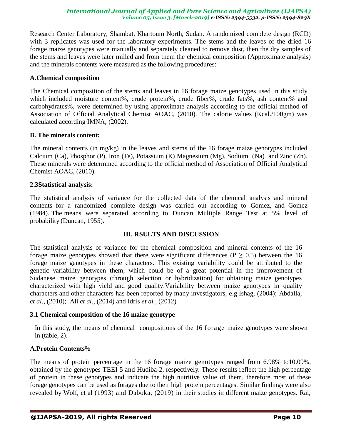Research Center Laboratory, Shambat, Khartoum North, Sudan. A randomized complete design (RCD) with 3 replicates was used for the laboratory experiments. The stems and the leaves of the dried 16 forage maize genotypes were manually and separately cleaned to remove dust, then the dry samples of the stems and leaves were later milled and from them the chemical composition (Approximate analysis) and the minerals contents were measured as the following procedures:

#### **A***.***Chemical composition**

The Chemical composition of the stems and leaves in 16 forage maize genotypes used in this study which included moisture content%, crude protein%, crude fiber%, crude fats%, ash content% and carbohydrates%, were determined by using approximate analysis according to the official method of Association of Official Analytical Chemist AOAC, (2010). The calorie values (Kcal./100gm) was calculated according IMNA, (2002).

#### **B. The minerals content:**

The mineral contents (in mg/kg) in the leaves and stems of the 16 forage maize genotypes included Calcium (Ca), Phosphor (P), Iron (Fe), Potassium (K) Magnesium (Mg), Sodium (Na) and Zinc (Zn). These minerals were determined according to the official method of Association of Official Analytical Chemist AOAC, (2010).

## **2.3Statistical analysis:**

The statistical analysis of variance for the collected data of the chemical analysis and mineral contents for a randomized complete design was carried out according to Gomez, and Gomez (1984). The means were separated according to Duncan Multiple Range Test at 5% level of probability (Duncan, 1955).

## **III. RSULTS AND DISCUSSION**

The statistical analysis of variance for the chemical composition and mineral contents of the 16 forage maize genotypes showed that there were significant differences ( $P \ge 0.5$ ) between the 16 forage maize genotypes in these characters. This existing variability could be attributed to the genetic variability between them, which could be of a great potential in the improvement of Sudanese maize genotypes (through selection or hybridization) for obtaining maize genotypes characterized with high yield and good quality.Variability between maize genotypes in quality characters and other characters has been reported by many investigators, e.g Ishag, (2004); Abdalla, *et al.,* (2010); Ali *et al.,* (2014) and Idris *et al.,* (2012)

## **3.1 Chemical composition of the 16 maize genotype**

In this study, the means of chemical compositions of the 16 forage maize genotypes were shown in (table, 2).

## **A.Protein Contents**%

The means of protein percentage in the 16 forage maize genotypes ranged from 6.98% to10.09%, obtained by the genotypes TEEI 5 and Hudiba-2, respectively. These results reflect the high percentage of protein in these genotypes and indicate the high nutritive value of them, therefore most of these forage genotypes can be used as forages due to their high protein percentages. Similar findings were also revealed by Wolf, et al (1993) and Daboka, (2019) in their studies in different maize genotypes. Rai,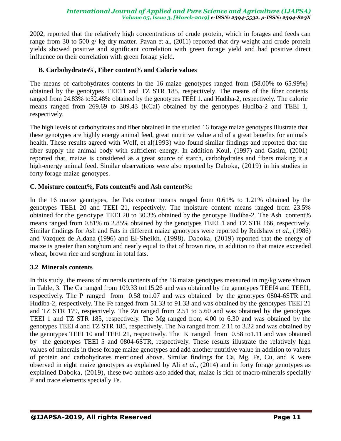2002, reported that the relatively high concentrations of crude protein, which in forages and feeds can range from 30 to 500 g/ kg dry matter. Pavan et al, (2011) reported that dry weight and crude protein yields showed positive and significant correlation with green forage yield and had positive direct influence on their correlation with green forage yield.

### **B. Carbohydrates**%**, Fiber content**% **and Calorie values**

The means of carbohydrates contents in the 16 maize genotypes ranged from (58.00% to 65.99%) obtained by the genotypes TEE11 and TZ STR 185, respectively. The means of the fiber contents ranged from 24.83% to32.48% obtained by the genotypes TEEI 1. and Hudiba-2, respectively. The calorie means ranged from 269.69 to 309.43 (KCal) obtained by the genotypes Hudiba-2 and TEEI 1, respectively.

The high levels of carbohydrates and fiber obtained in the studied 16 forage maize genotypes illustrate that these genotypes are highly energy animal feed, great nutritive value and of a great benefits for animals health. These results agreed with Wolf, et al(1993) who found similar findings and reported that the fiber supply the animal body with sufficient energy. In addition Koul, [\(1997\) and Gasim,](http://www.sciencedirect.com/science/article/pii/S1658077X10000044#b0235) (2001) reported that, maize is considered as a great source of starch, carbohydrates and fibers making it a high-energy animal feed. Similar observations were also reported by Daboka, (2019) in his studies in forty forage maize genotypes.

### **C. Moisture content**%**, Fats content**% **and Ash content**%**:**

In the 16 maize genotypes, the Fats content means ranged from 0.61% to 1.21% obtained by the genotypes TEE1 20 and TEEI 21, respectively. The moisture content means ranged from 23.5% obtained for the genotype TEEI 20 to 30.3% obtained by the genotype Hudiba-2. The Ash content% means ranged from 0.81% to 2.85% obtained by the genotypes TEE1 1 and TZ STR 166, respectively. Similar findings for Ash and Fats in different maize genotypes were reported by Redshaw *et al.,* (1986) and Vazquez de Aldana (1996) and El-Sheikh. (1998). Daboka, (2019) reported that the energy of maize is greater than sorghum and nearly equal to that of brown rice, in addition to that maize exceeded wheat, brown rice and sorghum in total fats.

## **3.2 Minerals contents**

In this study, the means of minerals contents of the 16 maize genotypes measured in mg/kg were shown in Table, 3. The Ca ranged from 109.33 to115.26 and was obtained by the genotypes TEEI4 and TEEI1, respectively. The P ranged from 0.58 to1.07 and was obtained by the genotypes 0804-6STR and Hudiba-2, respectively. The Fe ranged from 51.33 to 91.33 and was obtained by the genotypes TEEI 21 and TZ STR 179, respectively. The Zn ranged from 2.51 to 5.60 and was obtained by the genotypes TEEI 1 and TZ STR 185, respectively. The Mg ranged from 4.00 to 6.30 and was obtained by the genotypes TEEI 4 and TZ STR 185, respectively. The Na ranged from 2.11 to 3.22 and was obtained by the genotypes TEEI 10 and TEEI 21, respectively. The K ranged from 0.58 to1.11 and was obtained by the genotypes TEEI 5 and 0804-6STR, respectively. These results illustrate the relatively high values of minerals in these forage maize genotypes and add another nutritive value in addition to values of protein and carbohydrates mentioned above. Similar findings for Ca, Mg, Fe, Cu, and K were observed in eight maize genotypes as explained by Ali *et al.,* (2014) and in forty forage genotypes as explained Daboka, (2019), these two authors also added that, maize is rich of macro-minerals specially P and trace elements specially Fe.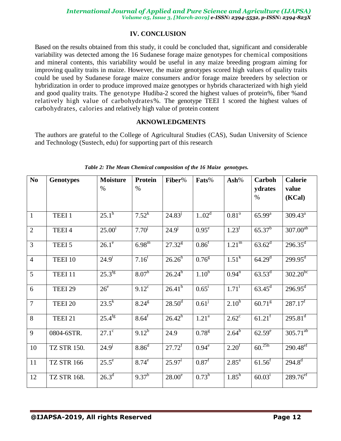# **IV. CONCLUSION**

Based on the results obtained from this study, it could be concluded that, significant and considerable variability was detected among the 16 Sudanese forage maize genotypes for chemical compositions and mineral contents, this variability would be useful in any maize breeding program aiming for improving quality traits in maize. However, the maize genotypes scored high values of quality traits could be used by Sudanese forage maize consumers and/or forage maize breeders by selection or hybridization in order to produce improved maize genotypes or hybrids characterized with high yield and good quality traits. The genotype Hudiba-2 scored the highest values of protein%, fiber %and relatively high value of carbohydrates%. The genotype TEEI 1 scored the highest values of carbohydrates, calories and relatively high value of protein content

### **AKNOWLEDGMENTS**

The authors are grateful to the College of Agricultural Studies (CAS), Sudan University of Science and Technology (Sustech, edu) for supporting part of this research

| N <sub>0</sub>   | <b>Genotypes</b>  | <b>Moisture</b><br>$\%$ | <b>Protein</b><br>$\%$ | Fiber%                            | Fats%             | Ash%              | Carboh<br>ydrates    | <b>Calorie</b><br>value |
|------------------|-------------------|-------------------------|------------------------|-----------------------------------|-------------------|-------------------|----------------------|-------------------------|
|                  |                   |                         |                        |                                   |                   |                   | $\%$                 | (KCal)                  |
| $\mathbf{1}$     | TEEI <sub>1</sub> | $25.1^{\rm h}$          | $7.52^k$               | $24.83^{\mathrm{J}}$              | 1.02 <sup>d</sup> | $0.81^\circ$      | $65.99^{\rm a}$      | $309.43^a$              |
| $\overline{2}$   | TEEI 4            | $25.00^1$               | $7.70^{j}$             | $24.9^{j}$                        | $0.95^e$          | 1.23 <sup>1</sup> | $65.37^{b}$          | $307.00^{ab}$           |
| $\overline{3}$   | TEEI 5            | $26.1^\circ$            | $6.98^{\rm m}$         | $27.32^{8}$                       | 0.86 <sup>f</sup> | 1.21 <sup>m</sup> | $63.62^d$            | $296.35^{\text{d}}$     |
| $\overline{4}$   | TEEI 10           | $24.9^{i}$              | 7.16 <sup>1</sup>      | $26.26^{h}$                       | 0.76 <sup>g</sup> | $1.51^{k}$        | $64.29^{d}$          | $299.95^{\text{d}}$     |
| 5                | TEEI 11           | $25.3^{fg}$             | $8.07^{h}$             | $26.\overline{24}^{\overline{h}}$ | 1.10 <sup>b</sup> | $0.94^n$          | $63.53^d$            | $302.20^{bc}$           |
| 6                | TEEI 29           | 26 <sup>e</sup>         | $9.12^{\circ}$         | $26.41^h$                         | $0.65^{\rm i}$    | $1.71^{i}$        | $63.45^{\rm d}$      | $296.95^{\text{d}}$     |
| $\boldsymbol{7}$ | TEEI 20           | $23.5^{\overline{k}}$   | $8.24^{8}$             | $28.50^{\rm d}$                   | $0.61^{\rm j}$    | $2.10^{h}$        | 60.71 <sup>g</sup>   | $287.17^f$              |
| 8                | TEEI 21           | $25.\overline{4^{fg}}$  | $8.64^{\rm f}$         | $26.42^h$                         | 1.21 <sup>a</sup> | $2.62^{\circ}$    | $61.21$ <sup>f</sup> | $295.81^{\text{d}}$     |
| 9                | 0804-6STR.        | $27.1^\circ$            | $9.12^{b}$             | 24.9                              | 0.78 <sup>g</sup> | $2.64^{b}$        | $62.59^e$            | $305.71^{ab}$           |
| 10               | TZ STR 150.       | $24.9^{\circ}$          | 8.86 <sup>d</sup>      | $27.72^{f}$                       | $0.94^\mathrm{e}$ | $2.20^{\rm f}$    | $60.^{25h}$          | $290.48^{e f}$          |
| 11               | <b>TZ STR 166</b> | $25.5^e$                | $8.74^e$               | $25.97^{\rm i}$                   | $0.87^{\rm f}$    | $2.85^{\rm a}$    | $61.56^{f}$          | $294.8^{d}$             |
| 12               | TZ STR 168.       | $26.3^d$                | $9.37^{b}$             | 28.00 <sup>e</sup>                | $0.73^{\rm h}$    | $1.85^{\rm h}$    | $60.03^{i}$          | $289.76^{\rm eF}$       |

*Table 2: The Mean Chemical composition of the 16 Maize genotypes.*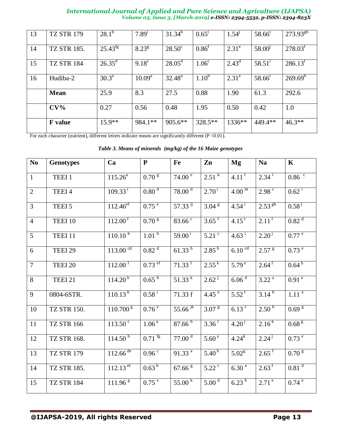| 13 | <b>TZ STR 179</b>  | $28.1^{b}$      | $7.89^{i}$        | $31.34^{b}$     | $0.65^1$          | $1.54^{j}$     | 58.66 <sup>1</sup>   | $273.93^{gh}$       |
|----|--------------------|-----------------|-------------------|-----------------|-------------------|----------------|----------------------|---------------------|
| 14 | <b>TZ STR 185.</b> | $25.43^{fg}$    | $8.23^{8}$        | $28.50^{\circ}$ | $0.86^{\text{t}}$ | $2.31^{\circ}$ | 58.00 <sup>j</sup>   | 278.03 <sup>f</sup> |
| 15 | <b>TZ STR 184</b>  | $26.35^{\rm d}$ | 9.18 <sup>c</sup> | $28.05^{\rm d}$ | 1.06 <sup>c</sup> | $2.43^d$       | $58.51$ <sup>1</sup> | 286.13 <sup>t</sup> |
| 16 | Hudiba-2           | $30.3^{\rm a}$  | $10.09^{\rm a}$   | $32.48^{\rm a}$ | $1.10^{b}$        | $2.31^e$       | $58.66^1$            | 269.69 <sup>h</sup> |
|    | <b>Mean</b>        | 25.9            | 8.3               | 27.5            | 0.88              | 1.90           | 61.3                 | 292.6               |
|    | $CV\%$             | 0.27            | 0.56              | 0.48            | 1.95              | 0.50           | 0.42                 | 1.0                 |
|    | <b>F</b> value     | $15.9**$        | 984.1**           | $905.6**$       | $328.5**$         | $1336**$       | 449.4**              | $46.3**$            |

For each character (nutrient), different letters indicate means are significantly different (P <0.01).

*Table 3. Means of minerals (mg/kg) of the 16 Maize genotypes*

| No             | <b>Genotypes</b>   | Ca                     | ${\bf P}$                                   | Fe                     | Zn                    | Mg                  | <b>Na</b>           | $\mathbf K$             |
|----------------|--------------------|------------------------|---------------------------------------------|------------------------|-----------------------|---------------------|---------------------|-------------------------|
| $\mathbf{1}$   | TEEI <sub>1</sub>  | $115.26^a$             | 0.70 <sup>g</sup>                           | 74.00 <sup>e</sup>     | $2.51^{k}$            | 4.11 <sup>1</sup>   | $2.34^{\mathrm{i}}$ | $0.86 \text{ }^{\circ}$ |
| $\overline{2}$ | TEEI <sub>4</sub>  | $109.33^{i}$           | 0.80 <sup>d</sup>                           | 78.00 <sup>d</sup>     | $2.70^{1}$            | 4.00 <sup>m</sup>   | 2.98 <sup>c</sup>   | $0.62^{\mathrm{i}}$     |
| 3              | TEEI 5             | $112.46^{e f}$         | 0.75 <sup>e</sup>                           | $57.33$ ij             | 3.04 <sup>g</sup>     | $4.54^{1}$          | $2.53^{8h}$         | $0.58^{j}$              |
| $\overline{4}$ | TEEI 10            | $112.00^{\text{T}}$    | 0.70 <sup>g</sup>                           | $83.66^{\circ}$        | $3.65$ <sup>f</sup>   | $4.15$ <sup>T</sup> | 2.11 <sup>1</sup>   | 0.82 <sup>d</sup>       |
| 5              | TEEI 11            | 110.10 <sup>h</sup>    | 1.01 <sup>b</sup>                           | $59.00^{1}$            | $5.21$ <sup>c</sup>   | $4.63^{\text{ }i}$  | $2.20^{j}$          | 0.77 e                  |
| 6              | TEEI 29            | $113.00 \text{°}$      | 0.82 <sup>d</sup>                           | $61.\overline{33}^{h}$ | $2.85^{h}$            | 6.10 <sup>cd</sup>  | 2.57 <sup>g</sup>   | $0.73^{\circ}$          |
| $\overline{7}$ | TEEI <sub>20</sub> | $112.00$ <sup>f</sup>  | $0.73$ ef                                   | $71.33$ <sup>f</sup>   | $2.55^{k}$            | $5.79^{\circ}$      | $2.64$ <sup>f</sup> | $0.64^{h}$              |
| 8              | TEEI 21            | $114.20^{b}$           | $0.65^{h}$                                  | $51.33^{k}$            | $2.62^{\mathrm{j}}$   | 6.06 <sup>d</sup>   | $3.22^{a}$          | 0.91 <sup>a</sup>       |
| 9              | 0804-6STR.         | 110.13 <sup>h</sup>    | $0.58^{i}$                                  | 71.33 f                | $4.45^{\circ}$        | $5.52^{\mathrm{f}}$ | $3.14^{b}$          | $1.1\overline{1^a}$     |
| 10             | <b>TZ STR 150.</b> | 110.700 <sup>g</sup>   | 0.76e                                       | 55.66 <sup>jk</sup>    | 3.07 <sup>g</sup>     | $6.13$ $\degree$    | $2.50^{h}$          | 0.69 <sup>g</sup>       |
| 11             | <b>TZ STR 166</b>  | $113.50^{\circ}$       | 1.06 <sup>a</sup>                           | $87.66^{b}$            | $3.\overline{36}^{1}$ | $4.20^{j}$          | $2.16^{k}$          | 0.68 <sup>g</sup>       |
| 12             | <b>TZ STR 168.</b> | 114.50 <sup>b</sup>    | $0.71$ <sup>fg</sup>                        | 77.00 <sup>d</sup>     | 5.60 <sup>a</sup>     | $4.24^{k}$          | $2.24^{j}$          | 0.73 e                  |
| 13             | <b>TZ STR 179</b>  | $112.66$ <sup>de</sup> | $0.96 \, \frac{\overline{c}}{\overline{c}}$ | 91.33 <sup>a</sup>     | $5.40^{b}$            | $5.02^8$            | $2.65^{\text{T}}$   | 0.70 <sup>g</sup>       |
| 14             | TZ STR 185.        | $112.13$ <sup>ef</sup> | 0.63 <sup>h</sup>                           | 67.66 <sup>g</sup>     | $5.22$ <sup>c</sup>   | $6.30^{a}$          | $2.63^{\mathrm{f}}$ | $0.81$ <sup>d</sup>     |
| 15             | <b>TZ STR 184</b>  | 111.96 <sup>g</sup>    | 0.75 <sup>e</sup>                           | $55.00^{k}$            | 5.00 <sup>d</sup>     | $6.23^{b}$          | $2.71^{\circ}$      | $0.74^{e}$              |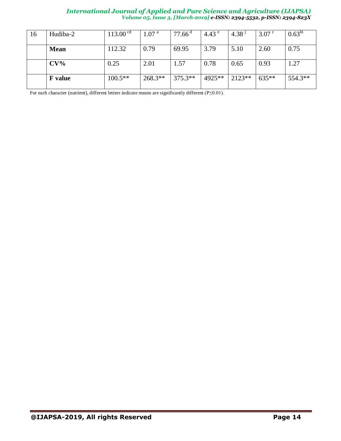| 16 | Hudiba-2       | 113.00 <sup>cd</sup> | 1.07 <sup>a</sup> | $77.66$ <sup>d</sup> | 4.43 $^{\circ}$ | 4.38 <sup>1</sup> | $3.07$ c | 0.63 <sup>hi</sup> |
|----|----------------|----------------------|-------------------|----------------------|-----------------|-------------------|----------|--------------------|
|    | <b>Mean</b>    | 112.32               | 0.79              | 69.95                | 3.79            | 5.10              | 2.60     | 0.75               |
|    | $CV\%$         | 0.25                 | 2.01              | 1.57                 | 0.78            | 0.65              | 0.93     | 1.27               |
|    | <b>F</b> value | $100.5**$            | $268.3**$         | $375.3**$            | 4925**          | $2123**$          | $635**$  | 554.3**            |

For each character (nutrient), different letters indicate means are significantly different (P≤0.01).